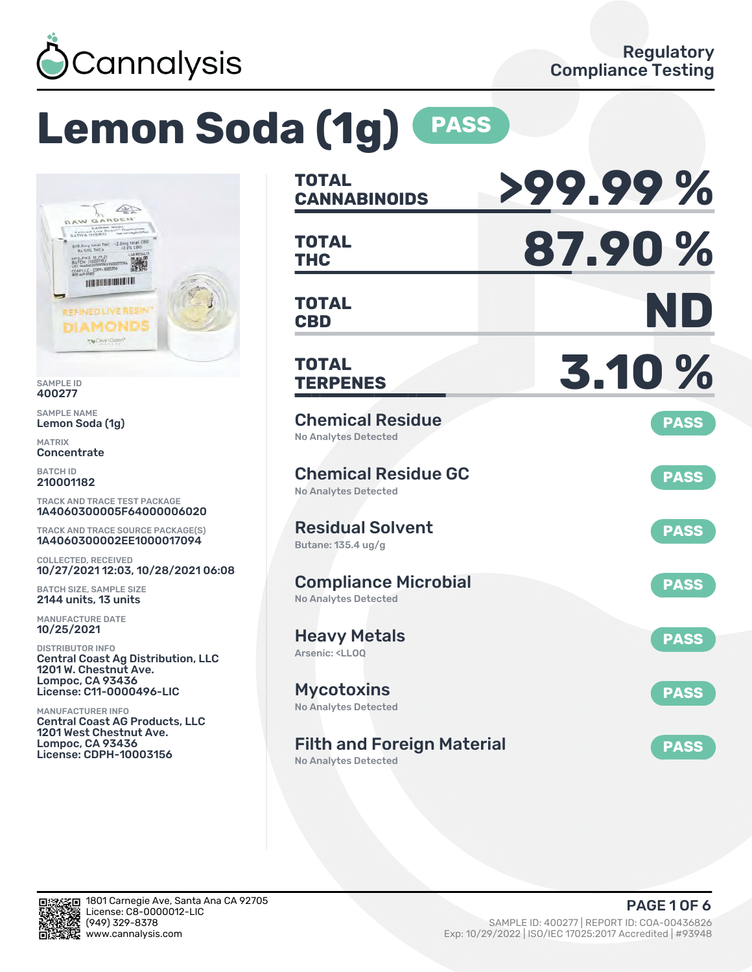

# **Lemon Soda (1g) PASS**



SAMPLE ID 400277

SAMPLE NAME Lemon Soda (1g)

MATRIX **Concentrate** 

BATCH ID 210001182

TRACK AND TRACE TEST PACKAGE 1A4060300005F64000006020

TRACK AND TRACE SOURCE PACKAGE(S) 1A4060300002EE1000017094

COLLECTED, RECEIVED 10/27/2021 12:03, 10/28/2021 06:08

BATCH SIZE, SAMPLE SIZE 2144 units, 13 units

MANUFACTURE DATE 10/25/2021

DISTRIBUTOR INFO Central Coast Ag Distribution, LLC 1201 W. Chestnut Ave. Lompoc, CA 93436 License: C11-0000496-LIC

MANUFACTURER INFO Central Coast AG Products, LLC 1201 West Chestnut Ave. Lompoc, CA 93436 License: CDPH-10003156

| <b>TOTAL</b><br><b>CANNABINOIDS</b>                                       | >99.99%     |
|---------------------------------------------------------------------------|-------------|
| <b>TOTAL</b><br><b>THC</b>                                                | 87.90%      |
| <b>TOTAL</b><br><b>CBD</b>                                                | ND          |
| <b>TOTAL</b><br><b>TERPENES</b>                                           | 3.10 %      |
| <b>Chemical Residue</b><br><b>No Analytes Detected</b>                    | <b>PASS</b> |
| <b>Chemical Residue GC</b><br><b>No Analytes Detected</b>                 | <b>PASS</b> |
| <b>Residual Solvent</b><br>Butane: 135.4 ug/g                             | <b>PASS</b> |
| <b>Compliance Microbial</b><br><b>No Analytes Detected</b>                | <b>PASS</b> |
| <b>Heavy Metals</b><br>Arsenic: <ll00< td=""><td><b>PASS</b></td></ll00<> | <b>PASS</b> |
| <b>Mycotoxins</b><br>No Analytes Detected                                 | <b>PASS</b> |
| <b>Filth and Foreign Material</b>                                         | <b>PASS</b> |

No Analytes Detected

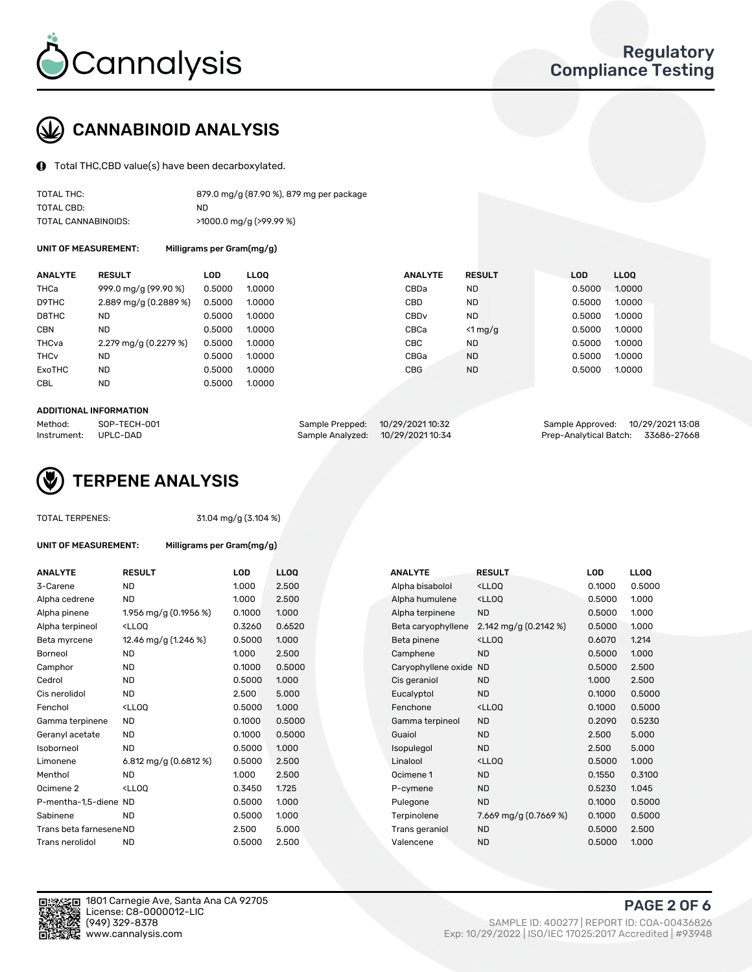

## CANNABINOID ANALYSIS

Total THC,CBD value(s) have been decarboxylated.

| TOTAL THC:          | 879.0 mg/g (87.90 %), 879 mg per package |
|---------------------|------------------------------------------|
| TOTAL CBD:          | ND.                                      |
| TOTAL CANNABINOIDS: | $>1000.0$ mg/g ( $>99.99$ %)             |

UNIT OF MEASUREMENT: Milligrams per Gram(mg/g)

| <b>ANALYTE</b>         | <b>RESULT</b>         | <b>LOD</b> | <b>LLOO</b> | <b>ANALYTE</b>   | <b>RESULT</b> | LOD    | <b>LLOQ</b> |
|------------------------|-----------------------|------------|-------------|------------------|---------------|--------|-------------|
| THCa                   | 999.0 mg/g (99.90 %)  | 0.5000     | 1.0000      | CBDa             | <b>ND</b>     | 0.5000 | 1.0000      |
| D9THC                  | 2.889 mg/g (0.2889 %) | 0.5000     | 1.0000      | CBD              | <b>ND</b>     | 0.5000 | 1.0000      |
| D8THC                  | ND                    | 0.5000     | 1.0000      | CBD <sub>v</sub> | <b>ND</b>     | 0.5000 | 1.0000      |
| <b>CBN</b>             | <b>ND</b>             | 0.5000     | 1.0000      | CBCa             | $<$ 1 mg/g    | 0.5000 | 1.0000      |
| THCva                  | 2.279 mg/g (0.2279 %) | 0.5000     | 1.0000      | <b>CBC</b>       | <b>ND</b>     | 0.5000 | 1.0000      |
| <b>THC<sub>v</sub></b> | <b>ND</b>             | 0.5000     | 1.0000      | CBGa             | <b>ND</b>     | 0.5000 | 1.0000      |
| <b>ExoTHC</b>          | <b>ND</b>             | 0.5000     | 1.0000      | <b>CBG</b>       | <b>ND</b>     | 0.5000 | 1.0000      |
| <b>CBL</b>             | <b>ND</b>             | 0.5000     | 1.0000      |                  |               |        |             |

#### ADDITIONAL INFORMATION

| Method:     | SOP-TECH-001 | Sample Prepped: 10/29/2021 10:32  | Sample Approved: 10/29/202113:08   |  |
|-------------|--------------|-----------------------------------|------------------------------------|--|
| Instrument: | UPLC-DAD     | Sample Analyzed: 10/29/2021 10:34 | Prep-Analytical Batch: 33686-27668 |  |



### TOTAL TERPENES: 31.04 mg/g (3.104 %)

| UNIT OF MEASUREMENT: | Milligrams per Gram(mg/g) |
|----------------------|---------------------------|
|----------------------|---------------------------|

| <b>ANALYTE</b>          | <b>RESULT</b>                                                                                                                             | LOD    | <b>LLOQ</b> | <b>ANALYTE</b>         | <b>RESULT</b>                                       | LOD    | <b>LLOQ</b> |
|-------------------------|-------------------------------------------------------------------------------------------------------------------------------------------|--------|-------------|------------------------|-----------------------------------------------------|--------|-------------|
| 3-Carene                | ND.                                                                                                                                       | 1.000  | 2.500       | Alpha bisabolol        | <lloq< td=""><td>0.1000</td><td>0.5000</td></lloq<> | 0.1000 | 0.5000      |
| Alpha cedrene           | ND.                                                                                                                                       | 1.000  | 2.500       | Alpha humulene         | <lloq< td=""><td>0.5000</td><td>1.000</td></lloq<>  | 0.5000 | 1.000       |
| Alpha pinene            | 1.956 mg/g (0.1956 %)                                                                                                                     | 0.1000 | 1.000       | Alpha terpinene        | <b>ND</b>                                           | 0.5000 | 1.000       |
| Alpha terpineol         | <lloq< td=""><td>0.3260</td><td>0.6520</td><td>Beta caryophyllene</td><td>2.142 mg/g (0.2142 %)</td><td>0.5000</td><td>1.000</td></lloq<> | 0.3260 | 0.6520      | Beta caryophyllene     | 2.142 mg/g (0.2142 %)                               | 0.5000 | 1.000       |
| Beta myrcene            | 12.46 mg/g (1.246 %)                                                                                                                      | 0.5000 | 1.000       | Beta pinene            | <lloq< td=""><td>0.6070</td><td>1.214</td></lloq<>  | 0.6070 | 1.214       |
| Borneol                 | ND.                                                                                                                                       | 1.000  | 2.500       | Camphene               | <b>ND</b>                                           | 0.5000 | 1.000       |
| Camphor                 | ND.                                                                                                                                       | 0.1000 | 0.5000      | Caryophyllene oxide ND |                                                     | 0.5000 | 2.500       |
| Cedrol                  | ND.                                                                                                                                       | 0.5000 | 1.000       | Cis geraniol           | <b>ND</b>                                           | 1.000  | 2.500       |
| Cis nerolidol           | <b>ND</b>                                                                                                                                 | 2.500  | 5.000       | Eucalyptol             | <b>ND</b>                                           | 0.1000 | 0.5000      |
| Fenchol                 | <lloq< td=""><td>0.5000</td><td>1.000</td><td>Fenchone</td><td><lloq< td=""><td>0.1000</td><td>0.5000</td></lloq<></td></lloq<>           | 0.5000 | 1.000       | Fenchone               | <lloq< td=""><td>0.1000</td><td>0.5000</td></lloq<> | 0.1000 | 0.5000      |
| Gamma terpinene         | ND.                                                                                                                                       | 0.1000 | 0.5000      | Gamma terpineol        | <b>ND</b>                                           | 0.2090 | 0.5230      |
| Geranyl acetate         | <b>ND</b>                                                                                                                                 | 0.1000 | 0.5000      | Guaiol                 | <b>ND</b>                                           | 2.500  | 5.000       |
| Isoborneol              | <b>ND</b>                                                                                                                                 | 0.5000 | 1.000       | Isopulegol             | <b>ND</b>                                           | 2.500  | 5.000       |
| Limonene                | 6.812 mg/g (0.6812 %)                                                                                                                     | 0.5000 | 2.500       | Linalool               | <lloq< td=""><td>0.5000</td><td>1.000</td></lloq<>  | 0.5000 | 1.000       |
| Menthol                 | <b>ND</b>                                                                                                                                 | 1.000  | 2.500       | Ocimene 1              | <b>ND</b>                                           | 0.1550 | 0.3100      |
| Ocimene 2               | <lloq< td=""><td>0.3450</td><td>1.725</td><td>P-cymene</td><td><b>ND</b></td><td>0.5230</td><td>1.045</td></lloq<>                        | 0.3450 | 1.725       | P-cymene               | <b>ND</b>                                           | 0.5230 | 1.045       |
| P-mentha-1.5-diene ND   |                                                                                                                                           | 0.5000 | 1.000       | Pulegone               | <b>ND</b>                                           | 0.1000 | 0.5000      |
| Sabinene                | <b>ND</b>                                                                                                                                 | 0.5000 | 1.000       | Terpinolene            | 7.669 mg/g (0.7669 %)                               | 0.1000 | 0.5000      |
| Trans beta farnesene ND |                                                                                                                                           | 2.500  | 5.000       | Trans geraniol         | <b>ND</b>                                           | 0.5000 | 2.500       |
| Trans nerolidol         | <b>ND</b>                                                                                                                                 | 0.5000 | 2.500       | Valencene              | <b>ND</b>                                           | 0.5000 | 1.000       |
|                         |                                                                                                                                           |        |             |                        |                                                     |        |             |

| ANALYTE                 | <b>RESULT</b>                                                                                                                             | <b>LOD</b> | <b>LLOQ</b> | <b>ANALYTE</b>         | <b>RESULT</b>                                       | <b>LOD</b> | <b>LLOQ</b> |
|-------------------------|-------------------------------------------------------------------------------------------------------------------------------------------|------------|-------------|------------------------|-----------------------------------------------------|------------|-------------|
| 3-Carene                | <b>ND</b>                                                                                                                                 | 1.000      | 2.500       | Alpha bisabolol        | <lloq< td=""><td>0.1000</td><td>0.5000</td></lloq<> | 0.1000     | 0.5000      |
| Alpha cedrene           | <b>ND</b>                                                                                                                                 | 1.000      | 2.500       | Alpha humulene         | <lloq< td=""><td>0.5000</td><td>1.000</td></lloq<>  | 0.5000     | 1.000       |
| Alpha pinene            | 1.956 mg/g (0.1956 %)                                                                                                                     | 0.1000     | 1.000       | Alpha terpinene        | <b>ND</b>                                           | 0.5000     | 1.000       |
| Alpha terpineol         | <lloq< td=""><td>0.3260</td><td>0.6520</td><td>Beta caryophyllene</td><td>2.142 mg/g (0.2142 %)</td><td>0.5000</td><td>1.000</td></lloq<> | 0.3260     | 0.6520      | Beta caryophyllene     | 2.142 mg/g (0.2142 %)                               | 0.5000     | 1.000       |
| Beta myrcene            | 12.46 mg/g (1.246 %)                                                                                                                      | 0.5000     | 1.000       | Beta pinene            | <lloq< td=""><td>0.6070</td><td>1.214</td></lloq<>  | 0.6070     | 1.214       |
| Borneol                 | <b>ND</b>                                                                                                                                 | 1.000      | 2.500       | Camphene               | <b>ND</b>                                           | 0.5000     | 1.000       |
| Camphor                 | <b>ND</b>                                                                                                                                 | 0.1000     | 0.5000      | Caryophyllene oxide ND |                                                     | 0.5000     | 2.500       |
| Cedrol                  | <b>ND</b>                                                                                                                                 | 0.5000     | 1.000       | Cis geraniol           | ND.                                                 | 1.000      | 2.500       |
| Cis nerolidol           | <b>ND</b>                                                                                                                                 | 2.500      | 5.000       | Eucalyptol             | <b>ND</b>                                           | 0.1000     | 0.5000      |
| Fenchol                 | <lloq< td=""><td>0.5000</td><td>1.000</td><td>Fenchone</td><td><lloq< td=""><td>0.1000</td><td>0.5000</td></lloq<></td></lloq<>           | 0.5000     | 1.000       | Fenchone               | <lloq< td=""><td>0.1000</td><td>0.5000</td></lloq<> | 0.1000     | 0.5000      |
| Gamma terpinene         | ND.                                                                                                                                       | 0.1000     | 0.5000      | Gamma terpineol        | <b>ND</b>                                           | 0.2090     | 0.5230      |
| Geranyl acetate         | <b>ND</b>                                                                                                                                 | 0.1000     | 0.5000      | Guaiol                 | <b>ND</b>                                           | 2.500      | 5.000       |
| Isoborneol              | <b>ND</b>                                                                                                                                 | 0.5000     | 1.000       | Isopulegol             | <b>ND</b>                                           | 2.500      | 5.000       |
| Limonene                | 6.812 mg/g $(0.6812%)$                                                                                                                    | 0.5000     | 2.500       | Linalool               | <lloq< td=""><td>0.5000</td><td>1.000</td></lloq<>  | 0.5000     | 1.000       |
| Menthol                 | <b>ND</b>                                                                                                                                 | 1.000      | 2.500       | Ocimene 1              | <b>ND</b>                                           | 0.1550     | 0.3100      |
| Ocimene 2               | <lloq< td=""><td>0.3450</td><td>1.725</td><td>P-cymene</td><td><b>ND</b></td><td>0.5230</td><td>1.045</td></lloq<>                        | 0.3450     | 1.725       | P-cymene               | <b>ND</b>                                           | 0.5230     | 1.045       |
| P-mentha-1,5-diene ND   |                                                                                                                                           | 0.5000     | 1.000       | Pulegone               | <b>ND</b>                                           | 0.1000     | 0.5000      |
| Sabinene                | <b>ND</b>                                                                                                                                 | 0.5000     | 1.000       | Terpinolene            | 7.669 mg/g (0.7669 %)                               | 0.1000     | 0.5000      |
| Trans beta farnesene ND |                                                                                                                                           | 2.500      | 5.000       | Trans geraniol         | <b>ND</b>                                           | 0.5000     | 2.500       |
| Trans nerolidol         | <b>ND</b>                                                                                                                                 | 0.5000     | 2.500       | Valencene              | <b>ND</b>                                           | 0.5000     | 1.000       |



1801 Carnegie Ave, Santa Ana CA 92705 License: C8-0000012-LIC<br>(949) 329-8378

PAGE 2 OF 6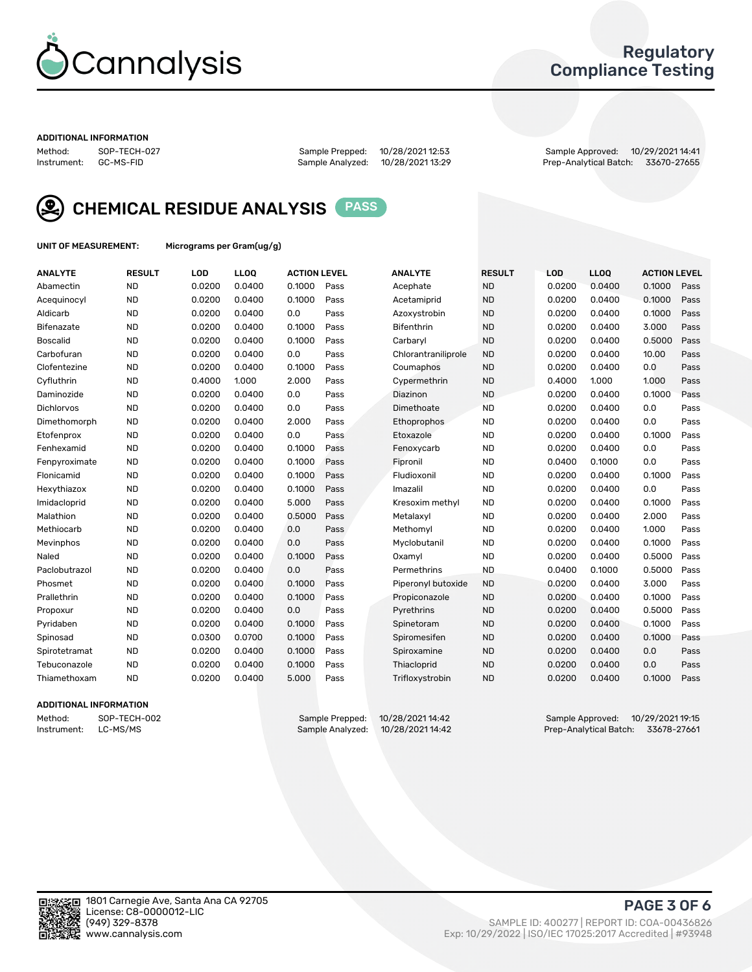

### Regulatory Compliance Testing

#### ADDITIONAL INFORMATION

Method: SOP-TECH-027 Sample Prepped: 10/28/2021 12:53 Sample Approved: 10/29/2021 14:41 Prep-Analytical Batch: 33670-27655



CHEMICAL RESIDUE ANALYSIS PASS

UNIT OF MEASUREMENT: Micrograms per Gram(ug/g)

| <b>ANALYTE</b>    | <b>RESULT</b> | LOD    | LL <sub>OO</sub> | <b>ACTION LEVEL</b> |      | <b>ANALYTE</b>      | <b>RESULT</b> | <b>LOD</b> | LL <sub>OO</sub> | <b>ACTION LEVEL</b> |      |
|-------------------|---------------|--------|------------------|---------------------|------|---------------------|---------------|------------|------------------|---------------------|------|
| Abamectin         | <b>ND</b>     | 0.0200 | 0.0400           | 0.1000              | Pass | Acephate            | <b>ND</b>     | 0.0200     | 0.0400           | 0.1000              | Pass |
| Acequinocyl       | <b>ND</b>     | 0.0200 | 0.0400           | 0.1000              | Pass | Acetamiprid         | <b>ND</b>     | 0.0200     | 0.0400           | 0.1000              | Pass |
| Aldicarb          | <b>ND</b>     | 0.0200 | 0.0400           | 0.0                 | Pass | Azoxystrobin        | <b>ND</b>     | 0.0200     | 0.0400           | 0.1000              | Pass |
| Bifenazate        | <b>ND</b>     | 0.0200 | 0.0400           | 0.1000              | Pass | <b>Bifenthrin</b>   | <b>ND</b>     | 0.0200     | 0.0400           | 3.000               | Pass |
| <b>Boscalid</b>   | <b>ND</b>     | 0.0200 | 0.0400           | 0.1000              | Pass | Carbaryl            | <b>ND</b>     | 0.0200     | 0.0400           | 0.5000              | Pass |
| Carbofuran        | <b>ND</b>     | 0.0200 | 0.0400           | 0.0                 | Pass | Chlorantraniliprole | <b>ND</b>     | 0.0200     | 0.0400           | 10.00               | Pass |
| Clofentezine      | <b>ND</b>     | 0.0200 | 0.0400           | 0.1000              | Pass | Coumaphos           | <b>ND</b>     | 0.0200     | 0.0400           | 0.0                 | Pass |
| Cyfluthrin        | <b>ND</b>     | 0.4000 | 1.000            | 2.000               | Pass | Cypermethrin        | <b>ND</b>     | 0.4000     | 1.000            | 1.000               | Pass |
| Daminozide        | <b>ND</b>     | 0.0200 | 0.0400           | 0.0                 | Pass | Diazinon            | <b>ND</b>     | 0.0200     | 0.0400           | 0.1000              | Pass |
| <b>Dichlorvos</b> | <b>ND</b>     | 0.0200 | 0.0400           | 0.0                 | Pass | Dimethoate          | <b>ND</b>     | 0.0200     | 0.0400           | 0.0                 | Pass |
| Dimethomorph      | <b>ND</b>     | 0.0200 | 0.0400           | 2.000               | Pass | Ethoprophos         | <b>ND</b>     | 0.0200     | 0.0400           | 0.0                 | Pass |
| Etofenprox        | <b>ND</b>     | 0.0200 | 0.0400           | 0.0                 | Pass | Etoxazole           | <b>ND</b>     | 0.0200     | 0.0400           | 0.1000              | Pass |
| Fenhexamid        | <b>ND</b>     | 0.0200 | 0.0400           | 0.1000              | Pass | Fenoxycarb          | <b>ND</b>     | 0.0200     | 0.0400           | 0.0                 | Pass |
| Fenpyroximate     | <b>ND</b>     | 0.0200 | 0.0400           | 0.1000              | Pass | Fipronil            | <b>ND</b>     | 0.0400     | 0.1000           | 0.0                 | Pass |
| Flonicamid        | <b>ND</b>     | 0.0200 | 0.0400           | 0.1000              | Pass | Fludioxonil         | <b>ND</b>     | 0.0200     | 0.0400           | 0.1000              | Pass |
| Hexythiazox       | <b>ND</b>     | 0.0200 | 0.0400           | 0.1000              | Pass | Imazalil            | <b>ND</b>     | 0.0200     | 0.0400           | 0.0                 | Pass |
| Imidacloprid      | <b>ND</b>     | 0.0200 | 0.0400           | 5.000               | Pass | Kresoxim methyl     | <b>ND</b>     | 0.0200     | 0.0400           | 0.1000              | Pass |
| Malathion         | <b>ND</b>     | 0.0200 | 0.0400           | 0.5000              | Pass | Metalaxyl           | <b>ND</b>     | 0.0200     | 0.0400           | 2.000               | Pass |
| Methiocarb        | <b>ND</b>     | 0.0200 | 0.0400           | 0.0                 | Pass | Methomyl            | <b>ND</b>     | 0.0200     | 0.0400           | 1.000               | Pass |
| Mevinphos         | <b>ND</b>     | 0.0200 | 0.0400           | 0.0                 | Pass | Myclobutanil        | <b>ND</b>     | 0.0200     | 0.0400           | 0.1000              | Pass |
| Naled             | <b>ND</b>     | 0.0200 | 0.0400           | 0.1000              | Pass | Oxamyl              | <b>ND</b>     | 0.0200     | 0.0400           | 0.5000              | Pass |
| Paclobutrazol     | <b>ND</b>     | 0.0200 | 0.0400           | 0.0                 | Pass | Permethrins         | <b>ND</b>     | 0.0400     | 0.1000           | 0.5000              | Pass |
| Phosmet           | <b>ND</b>     | 0.0200 | 0.0400           | 0.1000              | Pass | Piperonyl butoxide  | <b>ND</b>     | 0.0200     | 0.0400           | 3.000               | Pass |
| Prallethrin       | <b>ND</b>     | 0.0200 | 0.0400           | 0.1000              | Pass | Propiconazole       | <b>ND</b>     | 0.0200     | 0.0400           | 0.1000              | Pass |
| Propoxur          | <b>ND</b>     | 0.0200 | 0.0400           | 0.0                 | Pass | Pyrethrins          | <b>ND</b>     | 0.0200     | 0.0400           | 0.5000              | Pass |
| Pyridaben         | <b>ND</b>     | 0.0200 | 0.0400           | 0.1000              | Pass | Spinetoram          | <b>ND</b>     | 0.0200     | 0.0400           | 0.1000              | Pass |
| Spinosad          | <b>ND</b>     | 0.0300 | 0.0700           | 0.1000              | Pass | Spiromesifen        | <b>ND</b>     | 0.0200     | 0.0400           | 0.1000              | Pass |
| Spirotetramat     | <b>ND</b>     | 0.0200 | 0.0400           | 0.1000              | Pass | Spiroxamine         | <b>ND</b>     | 0.0200     | 0.0400           | 0.0                 | Pass |
| Tebuconazole      | <b>ND</b>     | 0.0200 | 0.0400           | 0.1000              | Pass | Thiacloprid         | <b>ND</b>     | 0.0200     | 0.0400           | 0.0                 | Pass |
| Thiamethoxam      | <b>ND</b>     | 0.0200 | 0.0400           | 5.000               | Pass | Trifloxystrobin     | <b>ND</b>     | 0.0200     | 0.0400           | 0.1000              | Pass |

### ADDITIONAL INFORMATION

Method: SOP-TECH-002 Sample Prepped: 10/28/202114:42<br>Instrument: LC-MS/MS Sample Analyzed: 10/28/202114:42 Sample Analyzed: 10/28/202114:42 Prep-Analytical Batch: 33678-27661 Prep-Analytical Batch: 33678-27661

PAGE 3 OF 6

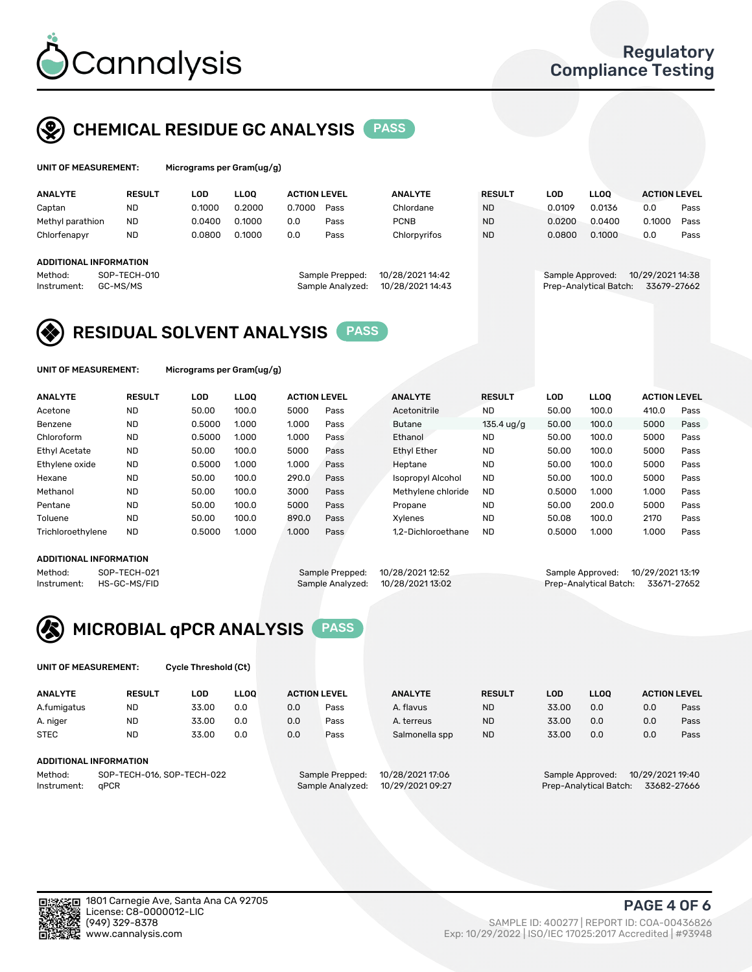

### CHEMICAL RESIDUE GC ANALYSIS PASS

| UNIT OF MEASUREMENT: | Microgra |
|----------------------|----------|
|                      |          |

ams per Gram(ug/g)

| <b>ANALYTE</b>                                               | <b>RESULT</b> | LOD    | <b>LLOO</b> | <b>ACTION LEVEL</b> |                                     | <b>ANALYTE</b>                       | <b>RESULT</b> | LOD              | <b>LLOO</b>            | <b>ACTION LEVEL</b>             |      |
|--------------------------------------------------------------|---------------|--------|-------------|---------------------|-------------------------------------|--------------------------------------|---------------|------------------|------------------------|---------------------------------|------|
| Captan                                                       | <b>ND</b>     | 0.1000 | 0.2000      | 0.7000              | Pass                                | Chlordane                            | <b>ND</b>     | 0.0109           | 0.0136                 | 0.0                             | Pass |
| Methyl parathion                                             | <b>ND</b>     | 0.0400 | 0.1000      | 0.0                 | Pass                                | <b>PCNB</b>                          | <b>ND</b>     | 0.0200           | 0.0400                 | 0.1000                          | Pass |
| Chlorfenapyr                                                 | <b>ND</b>     | 0.0800 | 0.1000      | 0.0                 | Pass                                | Chlorpyrifos                         | <b>ND</b>     | 0.0800           | 0.1000                 | 0.0                             | Pass |
| ADDITIONAL INFORMATION<br>Method:<br>GC-MS/MS<br>Instrument: | SOP-TECH-010  |        |             |                     | Sample Prepped:<br>Sample Analyzed: | 10/28/2021 14:42<br>10/28/2021 14:43 |               | Sample Approved: | Prep-Analytical Batch: | 10/29/2021 14:38<br>33679-27662 |      |

### RESIDUAL SOLVENT ANALYSIS PASS

UNIT OF MEASUREMENT: Micrograms per Gram(ug/g)

| <b>ANALYTE</b>       | <b>RESULT</b> | <b>LOD</b> | <b>LLOO</b> | <b>ACTION LEVEL</b> |      | <b>ANALYTE</b>           | <b>RESULT</b>        | LOD    | <b>LLOO</b> | <b>ACTION LEVEL</b> |      |
|----------------------|---------------|------------|-------------|---------------------|------|--------------------------|----------------------|--------|-------------|---------------------|------|
| Acetone              | <b>ND</b>     | 50.00      | 100.0       | 5000                | Pass | Acetonitrile             | <b>ND</b>            | 50.00  | 100.0       | 410.0               | Pass |
| Benzene              | <b>ND</b>     | 0.5000     | 1.000       | 1.000               | Pass | <b>Butane</b>            | $135.4 \text{ uq/q}$ | 50.00  | 100.0       | 5000                | Pass |
| Chloroform           | <b>ND</b>     | 0.5000     | 1.000       | 1.000               | Pass | Ethanol                  | <b>ND</b>            | 50.00  | 100.0       | 5000                | Pass |
| <b>Ethyl Acetate</b> | <b>ND</b>     | 50.00      | 100.0       | 5000                | Pass | <b>Ethyl Ether</b>       | <b>ND</b>            | 50.00  | 100.0       | 5000                | Pass |
| Ethylene oxide       | <b>ND</b>     | 0.5000     | 1.000       | 1.000               | Pass | Heptane                  | <b>ND</b>            | 50.00  | 100.0       | 5000                | Pass |
| Hexane               | <b>ND</b>     | 50.00      | 100.0       | 290.0               | Pass | <b>Isopropyl Alcohol</b> | <b>ND</b>            | 50.00  | 100.0       | 5000                | Pass |
| Methanol             | <b>ND</b>     | 50.00      | 100.0       | 3000                | Pass | Methylene chloride       | <b>ND</b>            | 0.5000 | 1.000       | 1.000               | Pass |
| Pentane              | <b>ND</b>     | 50.00      | 100.0       | 5000                | Pass | Propane                  | <b>ND</b>            | 50.00  | 200.0       | 5000                | Pass |
| Toluene              | <b>ND</b>     | 50.00      | 100.0       | 890.0               | Pass | Xvlenes                  | <b>ND</b>            | 50.08  | 100.0       | 2170                | Pass |
| Trichloroethylene    | <b>ND</b>     | 0.5000     | 1.000       | 1.000               | Pass | 1.2-Dichloroethane       | <b>ND</b>            | 0.5000 | 1.000       | 1.000               | Pass |

#### ADDITIONAL INFORMATION

|         | ADDITIONAL INFORMATION   |                                  |                                    |  |
|---------|--------------------------|----------------------------------|------------------------------------|--|
| Method: | SOP-TECH-021             | Sample Prepped: 10/28/2021 12:52 | Sample Approved: 10/29/202113:19   |  |
|         | Instrument: HS-GC-MS/FID | Sample Analyzed: 10/28/202113:02 | Prep-Analytical Batch: 33671-27652 |  |



UNIT OF MEASUREMENT: Cycle Threshold (Ct)

| <b>ANALYTE</b>         | <b>RESULT</b>              | LOD   | <b>LLOO</b> | <b>ACTION LEVEL</b> |                  | <b>ANALYTE</b>   | <b>RESULT</b> | LOD                                  | <b>LLOO</b> |     | <b>ACTION LEVEL</b> |
|------------------------|----------------------------|-------|-------------|---------------------|------------------|------------------|---------------|--------------------------------------|-------------|-----|---------------------|
| A.fumigatus            | ND                         | 33.00 | 0.0         | 0.0                 | Pass             | A. flavus        | <b>ND</b>     | 33.00                                | 0.0         | 0.0 | Pass                |
| A. niger               | <b>ND</b>                  | 33.00 | 0.0         | 0.0                 | Pass             | A. terreus       | <b>ND</b>     | 33.00                                | 0.0         | 0.0 | Pass                |
| <b>STEC</b>            | <b>ND</b>                  | 33.00 | 0.0         | 0.0                 | Pass             | Salmonella spp   | <b>ND</b>     | 33.00                                | 0.0         | 0.0 | Pass                |
|                        |                            |       |             |                     |                  |                  |               |                                      |             |     |                     |
| ADDITIONAL INFORMATION |                            |       |             |                     |                  |                  |               |                                      |             |     |                     |
| Method:                | SOP-TECH-016, SOP-TECH-022 |       |             |                     | Sample Prepped:  | 10/28/2021 17:06 |               | 10/29/2021 19:40<br>Sample Approved: |             |     |                     |
| Instrument:            | aPCR                       |       |             |                     | Sample Analyzed: | 10/29/2021 09:27 |               | Prep-Analytical Batch:               |             |     | 33682-27666         |

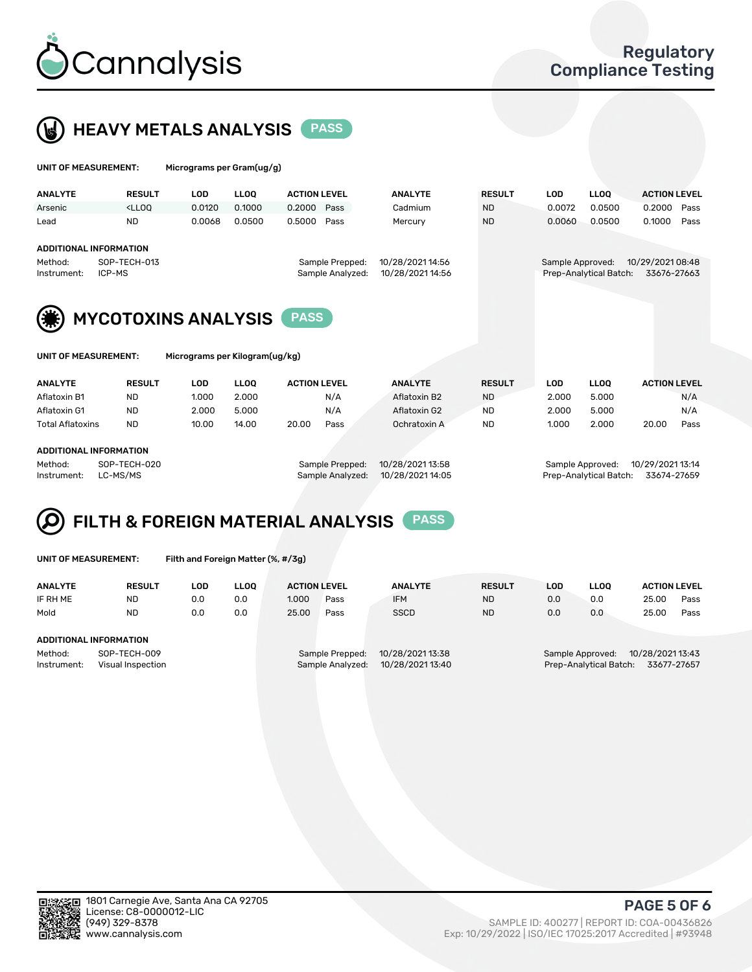

# **HEAVY METALS ANALYSIS** PASS

| UNIT OF MEASUREMENT:   |                                                                                                                                                                              | Micrograms per Gram(ug/g) |             |                     |                                     |                                      |               |                  |                        |                                 |      |
|------------------------|------------------------------------------------------------------------------------------------------------------------------------------------------------------------------|---------------------------|-------------|---------------------|-------------------------------------|--------------------------------------|---------------|------------------|------------------------|---------------------------------|------|
| <b>ANALYTE</b>         | <b>RESULT</b>                                                                                                                                                                | <b>LOD</b>                | <b>LLOO</b> | <b>ACTION LEVEL</b> |                                     | <b>ANALYTE</b>                       | <b>RESULT</b> | LOD              | LLOO <sup>1</sup>      | <b>ACTION LEVEL</b>             |      |
| Arsenic                | <lloo< td=""><td>0.0120</td><td>0.1000</td><td>0.2000 Pass</td><td></td><td>Cadmium</td><td><b>ND</b></td><td>0.0072</td><td>0.0500</td><td>0.2000</td><td>Pass</td></lloo<> | 0.0120                    | 0.1000      | 0.2000 Pass         |                                     | Cadmium                              | <b>ND</b>     | 0.0072           | 0.0500                 | 0.2000                          | Pass |
| Lead                   | <b>ND</b>                                                                                                                                                                    | 0.0068                    | 0.0500      | 0.5000              | Pass                                | Mercury                              | <b>ND</b>     | 0.0060           | 0.0500                 | 0.1000                          | Pass |
|                        | <b>ADDITIONAL INFORMATION</b>                                                                                                                                                |                           |             |                     |                                     |                                      |               |                  |                        |                                 |      |
| Method:<br>Instrument: | SOP-TECH-013<br>ICP-MS                                                                                                                                                       |                           |             |                     | Sample Prepped:<br>Sample Analyzed: | 10/28/2021 14:56<br>10/28/2021 14:56 |               | Sample Approved: | Prep-Analytical Batch: | 10/29/2021 08:48<br>33676-27663 |      |

Prep-Analytical Batch: 33676-27663



MYCOTOXINS ANALYSIS PASS

Micrograms per Kilogram(ug/kg)

| <b>ANALYTE</b>          | <b>RESULT</b> | LOD   | <b>LLOO</b> | <b>ACTION LEVEL</b> |      | <b>ANALYTE</b> | <b>RESULT</b> | LOD   | <b>LLOO</b> | <b>ACTION LEVEL</b> |      |
|-------------------------|---------------|-------|-------------|---------------------|------|----------------|---------------|-------|-------------|---------------------|------|
| Aflatoxin B1            | <b>ND</b>     | 1.000 | 2.000       |                     | N/A  | Aflatoxin B2   | <b>ND</b>     | 2.000 | 5.000       |                     | N/A  |
| Aflatoxin G1            | <b>ND</b>     | 2.000 | 5.000       |                     | N/A  | Aflatoxin G2   | <b>ND</b>     | 2.000 | 5.000       |                     | N/A  |
| <b>Total Aflatoxins</b> | <b>ND</b>     | 10.00 | 14.00       | 20.00               | Pass | Ochratoxin A   | <b>ND</b>     | 1.000 | 2.000       | 20.00               | Pass |
|                         |               |       |             |                     |      |                |               |       |             |                     |      |

### ADDITIONAL INFORMATION

Method: SOP-TECH-020 Sample Prepped: 10/28/2021 13:58 Sample Approved: 10/29/2021 13:14 Instrument: LC-MS/MS Sample Analyzed: 10/28/2021 14:05 Prep-Analytical Batch: 33674-27659

# FILTH & FOREIGN MATERIAL ANALYSIS PASS

UNIT OF MEASUREMENT: Filth and Foreign Matter (%, #/3g)

| <b>ANALYTE</b>                                              | <b>RESULT</b> | LOD | <b>LLOO</b> | <b>ACTION LEVEL</b> |                                     | <b>ANALYTE</b>                       | <b>RESULT</b> | LOD | <b>LLOO</b>                                | <b>ACTION LEVEL</b>             |      |
|-------------------------------------------------------------|---------------|-----|-------------|---------------------|-------------------------------------|--------------------------------------|---------------|-----|--------------------------------------------|---------------------------------|------|
| IF RH ME                                                    | <b>ND</b>     | 0.0 | 0.0         | 1.000               | Pass                                | <b>IFM</b>                           | <b>ND</b>     | 0.0 | 0.0                                        | 25.00                           | Pass |
| Mold                                                        | <b>ND</b>     | 0.0 | 0.0         | 25.00               | Pass                                | <b>SSCD</b>                          | <b>ND</b>     | 0.0 | 0.0                                        | 25.00                           | Pass |
| ADDITIONAL INFORMATION                                      |               |     |             |                     |                                     |                                      |               |     |                                            |                                 |      |
| Method:<br>SOP-TECH-009<br>Instrument:<br>Visual Inspection |               |     |             |                     | Sample Prepped:<br>Sample Analyzed: | 10/28/2021 13:38<br>10/28/2021 13:40 |               |     | Sample Approved:<br>Prep-Analytical Batch: | 10/28/2021 13:43<br>33677-27657 |      |



PAGE 5 OF 6